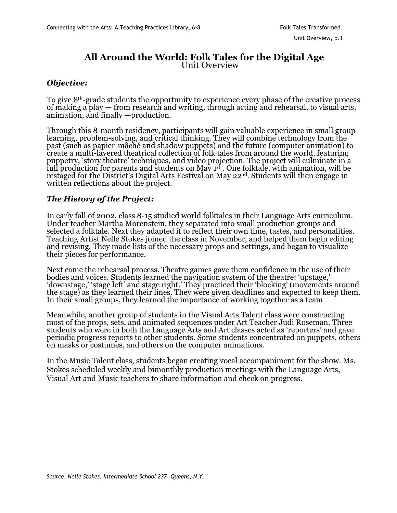## **All Around the World: Folk Tales for the Digital Age** Unit Overview

## *Objective:*

To give 8th-grade students the opportunity to experience every phase of the creative process of making a play — from research and writing, through acting and rehearsal, to visual arts, animation, and finally —production.

Through this 8-month residency, participants will gain valuable experience in small group learning, problem-solving, and critical thinking. They will combine technology from the past (such as papier-mâché and shadow puppets) and the future (computer animation) to create a multi-layered theatrical collection of folk tales from around the world, featuring puppetry, 'story theatre' techniques, and video projection. The project will culminate in a full production for parents and students on May 1<sup>st</sup> . One folktale, with animation, will be restaged for the District's Digital Arts Festival on May 22nd. Students will then engage in written reflections about the project.

## *The History of the Project:*

In early fall of 2002, class 8-15 studied world folktales in their Language Arts curriculum. Under teacher Martha Morenstein, they separated into small production groups and selected a folktale. Next they adapted it to reflect their own time, tastes, and personalities. Teaching Artist Nelle Stokes joined the class in November, and helped them begin editing and revising. They made lists of the necessary props and settings, and began to visualize their pieces for performance.

Next came the rehearsal process. Theatre games gave them confidence in the use of their bodies and voices. Students learned the navigation system of the theatre: 'upstage,' 'downstage,' 'stage left' and stage right.' They practiced their 'blocking' (movements around the stage) as they learned their lines. They were given deadlines and expected to keep them. In their small groups, they learned the importance of working together as a team.

Meanwhile, another group of students in the Visual Arts Talent class were constructing most of the props, sets, and animated sequences under Art Teacher Judi Roseman. Three students who were in both the Language Arts and Art classes acted as 'reporters' and gave periodic progress reports to other students. Some students concentrated on puppets, others on masks or costumes, and others on the computer animations.

In the Music Talent class, students began creating vocal accompaniment for the show. Ms. Stokes scheduled weekly and bimonthly production meetings with the Language Arts, Visual Art and Music teachers to share information and check on progress.